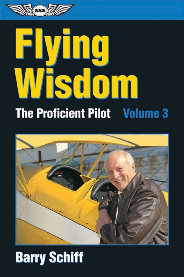

# Flying Wisdom **The Proficient Pilot Volume 3**



# **Barry Schiff**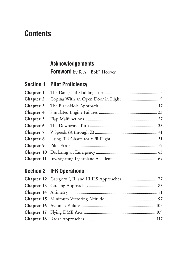## **Contents**

#### **Acknowledgements**

**Foreword** by R. A. "Bob" Hoover

#### **Section 1 Pilot Proficiency**

| Chapter 1 |  |
|-----------|--|
| Chapter 2 |  |
| Chapter 3 |  |
| Chapter 4 |  |
| Chapter 5 |  |
| Chapter 6 |  |
| Chapter 7 |  |
| Chapter 8 |  |
| Chapter 9 |  |
|           |  |
|           |  |

#### **Section 2 IFR Operations**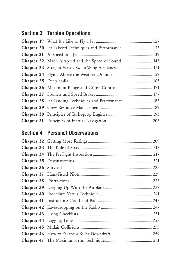#### **Section 3 Turbine Operations**

| <b>Chapter 20</b> Jet Takeoff Techniques and Performance  133 |  |
|---------------------------------------------------------------|--|
|                                                               |  |
| <b>Chapter 22</b> Mach Airspeed and the Speed of Sound 145    |  |
| Chapter 23 Straight Versus Swept-Wing Airplanes 151           |  |
|                                                               |  |
|                                                               |  |
| Chapter 26 Maximum Range and Cruise Control  171              |  |
|                                                               |  |
| Chapter 28 Jet Landing Techniques and Performance  183        |  |
|                                                               |  |
|                                                               |  |
|                                                               |  |
|                                                               |  |

#### **Section 4 Personal Observations**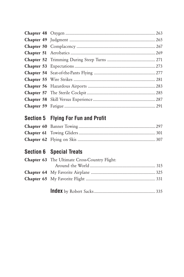### Section 5 Flying For Fun and Profit

#### **Section 6 Special Treats**

| Chapter 63 The Ultimate Cross-Country Flight: |  |
|-----------------------------------------------|--|
|                                               |  |
|                                               |  |
|                                               |  |
|                                               |  |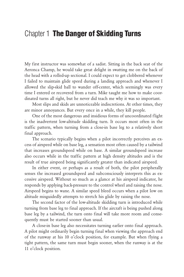#### Chapter 1 **The Danger of Skidding Turns**

My first instructor was somewhat of a sadist. Sitting in the back seat of the Aeronca Champ, he would take great delight in swatting me on the back of the head with a rolled-up sectional. I could expect to get clobbered whenever I failed to maintain glide speed during a landing approach and whenever I allowed the slip-skid ball to wander off-center, which seemingly was every time I entered or recovered from a turn. Mike taught me how to make coordinated turns all right, but he never did teach me why it was so important.

Most slips and skids are unnoticeable indiscretions. At other times, they are minor annoyances. But every once in a while, they kill people.

One of the most dangerous and insidious forms of uncoordinated flight is the inadvertent low-altitude skidding turn. It occurs most often in the traffic pattern, when turning from a close-in base leg to a relatively short final approach.

The scenario typically begins when a pilot incorrectly perceives an excess of airspeed while on base leg, a sensation most often caused by a tailwind that increases groundspeed while on base. A similar groundspeed increase also occurs while in the traffic pattern at high density altitudes and is the result of true airspeed being significantly greater than indicated airspeed.

In either event, or perhaps as a result of both, the pilot peripherally senses the increased groundspeed and subconsciously interprets this as excessive airspeed. Without so much as a glance at his airspeed indicator, he responds by applying back-pressure to the control wheel and raising the nose. Airspeed begins to wane. A similar speed bleed occurs when a pilot low on altitude misguidedly attempts to stretch his glide by raising the nose.

The second factor of the low-altitude skidding turn is introduced while turning from base leg to final approach. If the aircraft is being pushed along base leg by a tailwind, the turn onto final will take more room and consequently must be started sooner than usual.

A close-in base leg also necessitates turning earlier onto final approach. A pilot might ordinarily begin turning final when viewing the approach end of the runway at his 10 o'clock position, for example. But when flying a tight pattern, the same turn must begin sooner, when the runway is at the 11 o'clock position.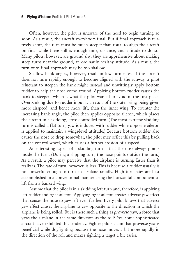Often, however, the pilot is unaware of the need to begin turning so soon. As a result, the aircraft overshoots final. But if final approach is relatively short, the turn must be much steeper than usual to align the aircraft on final while there still is enough time, distance, and altitude to do so. Many pilots, however, are ground shy; they are apprehensive about making steep turns near the ground, an ordinarily healthy attitude. As a result, the turn onto final approach may be too shallow.

Shallow bank angles, however, result in low turn rates. If the aircraft does not turn rapidly enough to become aligned with the runway, a pilot reluctant to steepen the bank might instead and unwittingly apply bottom rudder to help the nose come around. Applying bottom rudder causes the bank to steepen, which is what the pilot wanted to avoid in the first place. Overbanking due to rudder input is a result of the outer wing being given more airspeed, and hence more lift, than the inner wing. To counter the increasing bank angle, the pilot then applies opposite aileron, which places the aircraft in a skidding, cross-controlled turn. (The most extreme skidding turn is called a flat turn; yaw is induced with rudder while opposite aileron is applied to maintain a wings-level attitude.) Because bottom rudder also causes the nose to drop somewhat, the pilot may offset this by pulling back on the control wheel, which causes a further erosion of airspeed.

An interesting aspect of a skidding turn is that the nose always points inside the turn. (During a slipping turn, the nose points outside the turn.) As a result, a pilot may perceive that the airplane is turning faster than it really is. The rate of turn, however, is less. This is because a rudder usually is not powerful enough to turn an airplane rapidly. High turn rates are best accomplished in a conventional manner using the horizontal component of lift from a banked wing.

Assume that the pilot is in a skidding left turn and, therefore, is applying left rudder and right aileron. Applying right aileron creates adverse yaw effect that causes the nose to yaw left even further. Every pilot knows that adverse yaw effect causes the airplane to yaw opposite to the direction in which the airplane is being rolled. But is there such a thing as proverse yaw, a force that yaws the airplane in the same direction as the roll? Yes, some sophisticated aircraft have exhibited this tendency. Fighter pilots claim that proverse yaw is beneficial while dogfighting because the nose moves a bit more rapidly in the direction of the roll and makes sighting a target a bit easier.